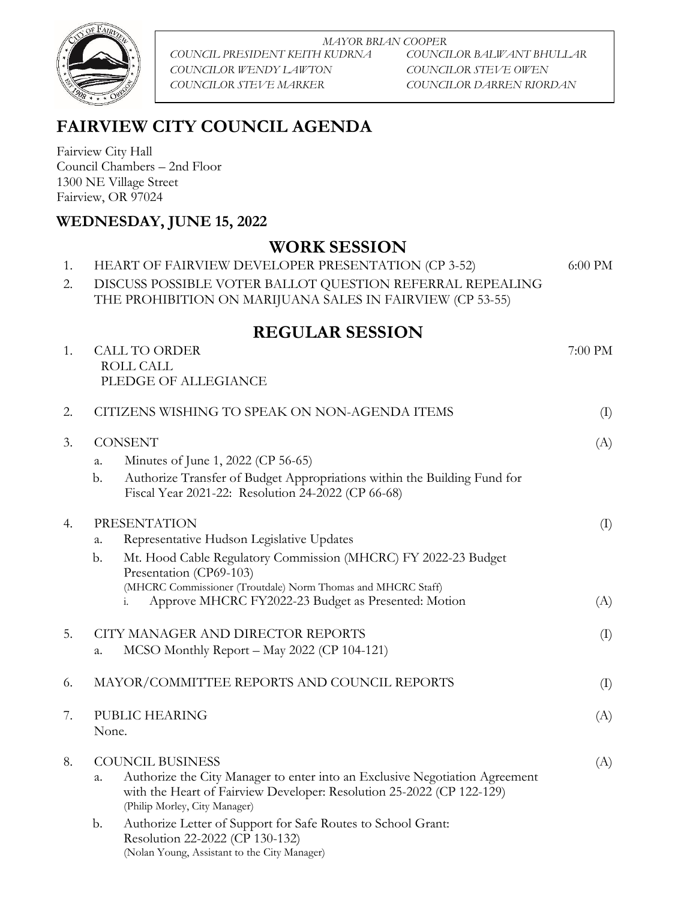

*MAYOR BRIAN COOPER COUNCIL PRESIDENT KEITH KUDRNA COUNCILOR BALWANT BHULLAR COUNCILOR WENDY LAWTON COUNCILOR STEVE OWEN COUNCILOR STEVE MARKER COUNCILOR DARREN RIORDAN*

# **FAIRVIEW CITY COUNCIL AGENDA**

Fairview City Hall Council Chambers – 2nd Floor 1300 NE Village Street Fairview, OR 97024

ROLL CALL

### **WEDNESDAY, JUNE 15, 2022**

### **WORK SESSION**

1. HEART OF FAIRVIEW DEVELOPER PRESENTATION (CP 3-52) 6:00 PM 2. DISCUSS POSSIBLE VOTER BALLOT QUESTION REFERRAL REPEALING THE PROHIBITION ON MARIJUANA SALES IN FAIRVIEW (CP 53-55)

## **REGULAR SESSION**

1. CALL TO ORDER 7:00 PM

|    |                                   | PLEDGE OF ALLEGIANCE                                                                                                                                                                  |                            |
|----|-----------------------------------|---------------------------------------------------------------------------------------------------------------------------------------------------------------------------------------|----------------------------|
| 2. |                                   | CITIZENS WISHING TO SPEAK ON NON-AGENDA ITEMS                                                                                                                                         | (I)                        |
| 3. | <b>CONSENT</b>                    |                                                                                                                                                                                       | (A)                        |
|    | a.                                | Minutes of June 1, 2022 (CP 56-65)                                                                                                                                                    |                            |
|    | b.                                | Authorize Transfer of Budget Appropriations within the Building Fund for<br>Fiscal Year 2021-22: Resolution 24-2022 (CP 66-68)                                                        |                            |
| 4. | <b>PRESENTATION</b>               |                                                                                                                                                                                       | $\left( \mathrm{I}\right)$ |
|    | a.                                | Representative Hudson Legislative Updates                                                                                                                                             |                            |
|    | b.                                | Mt. Hood Cable Regulatory Commission (MHCRC) FY 2022-23 Budget<br>Presentation (CP69-103)                                                                                             |                            |
|    |                                   | (MHCRC Commissioner (Troutdale) Norm Thomas and MHCRC Staff)                                                                                                                          |                            |
|    |                                   | Approve MHCRC FY2022-23 Budget as Presented: Motion<br>i.                                                                                                                             | (A)                        |
| 5. | CITY MANAGER AND DIRECTOR REPORTS |                                                                                                                                                                                       | (I)                        |
|    | a.                                | MCSO Monthly Report - May 2022 (CP 104-121)                                                                                                                                           |                            |
| 6. |                                   | MAYOR/COMMITTEE REPORTS AND COUNCIL REPORTS                                                                                                                                           | $\left( \mathrm{I}\right)$ |
| 7. | PUBLIC HEARING                    |                                                                                                                                                                                       | (A)                        |
|    | None.                             |                                                                                                                                                                                       |                            |
| 8. | <b>COUNCIL BUSINESS</b>           |                                                                                                                                                                                       | (A)                        |
|    | a.                                | Authorize the City Manager to enter into an Exclusive Negotiation Agreement<br>with the Heart of Fairview Developer: Resolution 25-2022 (CP 122-129)<br>(Philip Morley, City Manager) |                            |
|    | b.                                | Authorize Letter of Support for Safe Routes to School Grant:<br>Resolution 22-2022 (CP 130-132)<br>(Nolan Young, Assistant to the City Manager)                                       |                            |